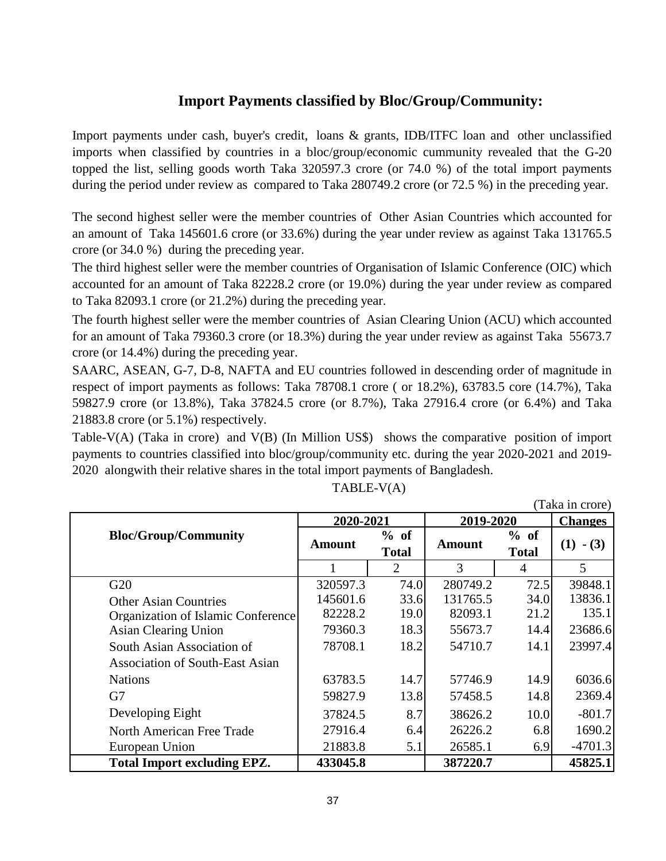## **Import Payments classified by Bloc/Group/Community:**

Import payments under cash, buyer's credit, loans & grants, IDB/ITFC loan and other unclassified imports when classified by countries in a bloc/group/economic cummunity revealed that the G-20 topped the list, selling goods worth Taka 320597.3 crore (or 74.0 %) of the total import payments during the period under review as compared to Taka 280749.2 crore (or 72.5 %) in the preceding year.

The second highest seller were the member countries of Other Asian Countries which accounted for an amount of Taka 145601.6 crore (or 33.6%) during the year under review as against Taka 131765.5 crore (or 34.0 %) during the preceding year.

The third highest seller were the member countries of Organisation of Islamic Conference (OIC) which accounted for an amount of Taka 82228.2 crore (or 19.0%) during the year under review as compared to Taka 82093.1 crore (or 21.2%) during the preceding year.

The fourth highest seller were the member countries of Asian Clearing Union (ACU) which accounted for an amount of Taka 79360.3 crore (or 18.3%) during the year under review as against Taka 55673.7 crore (or 14.4%) during the preceding year.

SAARC, ASEAN, G-7, D-8, NAFTA and EU countries followed in descending order of magnitude in respect of import payments as follows: Taka 78708.1 crore ( or 18.2%), 63783.5 core (14.7%), Taka 59827.9 crore (or 13.8%), Taka 37824.5 crore (or 8.7%), Taka 27916.4 crore (or 6.4%) and Taka 21883.8 crore (or 5.1%) respectively.

Table-V(A) (Taka in crore) and V(B) (In Million US\$) shows the comparative position of import payments to countries classified into bloc/group/community etc. during the year 2020-2021 and 2019- 2020 alongwith their relative shares in the total import payments of Bangladesh.

|                                        | 2020-2021 |                      | 2019-2020 |                      | <b>Changes</b> |
|----------------------------------------|-----------|----------------------|-----------|----------------------|----------------|
| <b>Bloc/Group/Community</b>            | Amount    | % of<br><b>Total</b> | Amount    | % of<br><b>Total</b> | (1)<br>$- (3)$ |
|                                        |           | $\overline{2}$       | 3         | 4                    | 5              |
| G20                                    | 320597.3  | 74.0                 | 280749.2  | 72.5                 | 39848.1        |
| <b>Other Asian Countries</b>           | 145601.6  | 33.6                 | 131765.5  | 34.0                 | 13836.1        |
| Organization of Islamic Conference     | 82228.2   | 19.0                 | 82093.1   | 21.2                 | 135.1          |
| <b>Asian Clearing Union</b>            | 79360.3   | 18.3                 | 55673.7   | 14.4                 | 23686.6        |
| South Asian Association of             | 78708.1   | 18.2                 | 54710.7   | 14.1                 | 23997.4        |
| <b>Association of South-East Asian</b> |           |                      |           |                      |                |
| <b>Nations</b>                         | 63783.5   | 14.7                 | 57746.9   | 14.9                 | 6036.6         |
| G7                                     | 59827.9   | 13.8                 | 57458.5   | 14.8                 | 2369.4         |
| Developing Eight                       | 37824.5   | 8.7                  | 38626.2   | 10.0                 | $-801.7$       |
| North American Free Trade              | 27916.4   | 6.4                  | 26226.2   | 6.8                  | 1690.2         |
| European Union                         | 21883.8   | 5.1                  | 26585.1   | 6.9                  | $-4701.3$      |
| <b>Total Import excluding EPZ.</b>     | 433045.8  |                      | 387220.7  |                      | 45825.1        |

## TABLE-V(A)

(Taka in crore)